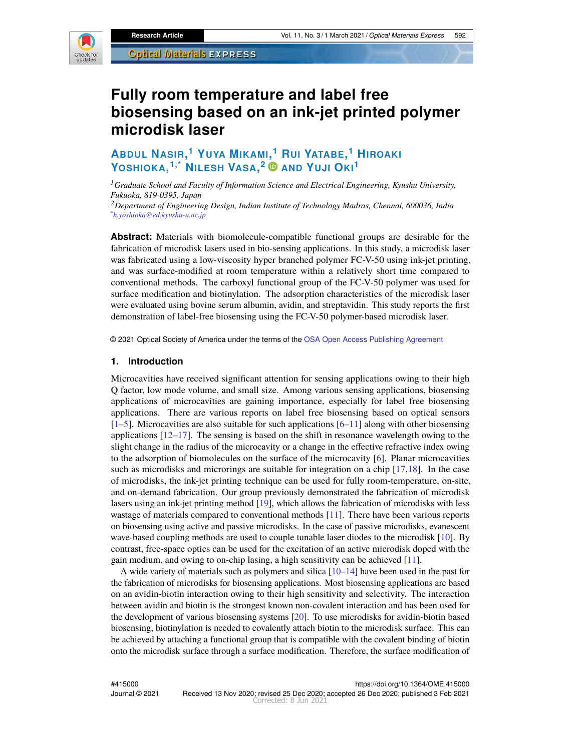

# **Fully room temperature and label free biosensing based on an ink-jet printed polymer microdisk laser**

## **ABDUL NASIR, <sup>1</sup> YUYA MIKAMI[,](https://orcid.org/0000-0002-6986-8858) <sup>1</sup> RUI YATABE, <sup>1</sup> HIROAKI YOSHIOKA, 1,\* NILESH VASA, <sup>2</sup> AND YUJI OKI<sup>1</sup>**

*<sup>1</sup>Graduate School and Faculty of Information Science and Electrical Engineering, Kyushu University, Fukuoka, 819-0395, Japan*

*<sup>2</sup>Department of Engineering Design, Indian Institute of Technology Madras, Chennai, 600036, India \*h.yoshioka@ed.kyushu-u.ac.jp*

**Abstract:** Materials with biomolecule-compatible functional groups are desirable for the fabrication of microdisk lasers used in bio-sensing applications. In this study, a microdisk laser was fabricated using a low-viscosity hyper branched polymer FC-V-50 using ink-jet printing, and was surface-modified at room temperature within a relatively short time compared to conventional methods. The carboxyl functional group of the FC-V-50 polymer was used for surface modification and biotinylation. The adsorption characteristics of the microdisk laser were evaluated using bovine serum albumin, avidin, and streptavidin. This study reports the first demonstration of label-free biosensing using the FC-V-50 polymer-based microdisk laser.

© 2021 Optical Society of America under the terms of the [OSA Open Access Publishing Agreement](https://doi.org/10.1364/OA_License_v1#VOR-OA)

#### **1. Introduction**

Microcavities have received significant attention for sensing applications owing to their high Q factor, low mode volume, and small size. Among various sensing applications, biosensing applications of microcavities are gaining importance, especially for label free biosensing applications. There are various reports on label free biosensing based on optical sensors  $[1–5]$  $[1–5]$ . Microcavities are also suitable for such applications  $[6–11]$  $[6–11]$  along with other biosensing applications [\[12](#page-10-1)[–17\]](#page-10-2). The sensing is based on the shift in resonance wavelength owing to the slight change in the radius of the microcavity or a change in the effective refractive index owing to the adsorption of biomolecules on the surface of the microcavity [\[6\]](#page-9-2). Planar microcavities such as microdisks and microrings are suitable for integration on a chip [\[17](#page-10-2)[,18\]](#page-10-3). In the case of microdisks, the ink-jet printing technique can be used for fully room-temperature, on-site, and on-demand fabrication. Our group previously demonstrated the fabrication of microdisk lasers using an ink-jet printing method [\[19\]](#page-10-4), which allows the fabrication of microdisks with less wastage of materials compared to conventional methods [\[11\]](#page-10-0). There have been various reports on biosensing using active and passive microdisks. In the case of passive microdisks, evanescent wave-based coupling methods are used to couple tunable laser diodes to the microdisk [\[10\]](#page-10-5). By contrast, free-space optics can be used for the excitation of an active microdisk doped with the gain medium, and owing to on-chip lasing, a high sensitivity can be achieved [\[11\]](#page-10-0).

A wide variety of materials such as polymers and silica [\[10](#page-10-5)[–14\]](#page-10-6) have been used in the past for the fabrication of microdisks for biosensing applications. Most biosensing applications are based on an avidin-biotin interaction owing to their high sensitivity and selectivity. The interaction between avidin and biotin is the strongest known non-covalent interaction and has been used for the development of various biosensing systems [\[20\]](#page-10-7). To use microdisks for avidin-biotin based biosensing, biotinylation is needed to covalently attach biotin to the microdisk surface. This can be achieved by attaching a functional group that is compatible with the covalent binding of biotin onto the microdisk surface through a surface modification. Therefore, the surface modification of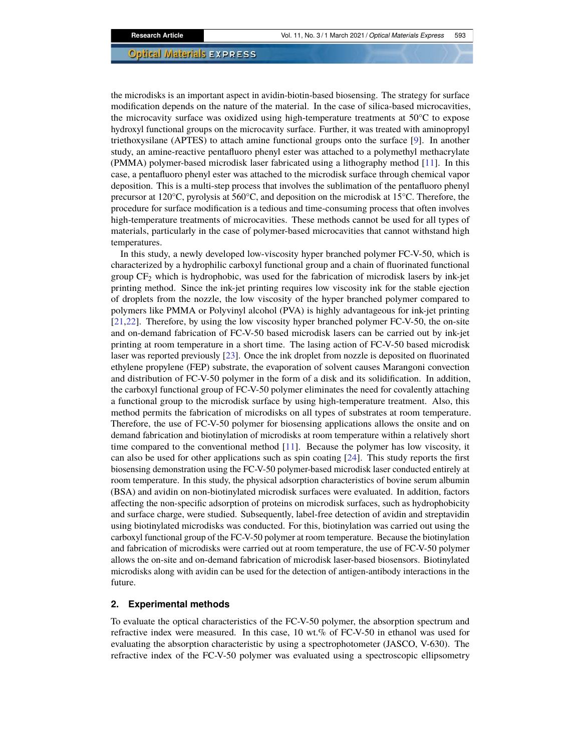the microdisks is an important aspect in avidin-biotin-based biosensing. The strategy for surface modification depends on the nature of the material. In the case of silica-based microcavities, the microcavity surface was oxidized using high-temperature treatments at 50°C to expose hydroxyl functional groups on the microcavity surface. Further, it was treated with aminopropyl triethoxysilane (APTES) to attach amine functional groups onto the surface [\[9\]](#page-9-3). In another study, an amine-reactive pentafluoro phenyl ester was attached to a polymethyl methacrylate (PMMA) polymer-based microdisk laser fabricated using a lithography method [\[11\]](#page-10-0). In this case, a pentafluoro phenyl ester was attached to the microdisk surface through chemical vapor deposition. This is a multi-step process that involves the sublimation of the pentafluoro phenyl precursor at 120°C, pyrolysis at 560°C, and deposition on the microdisk at 15°C. Therefore, the procedure for surface modification is a tedious and time-consuming process that often involves high-temperature treatments of microcavities. These methods cannot be used for all types of materials, particularly in the case of polymer-based microcavities that cannot withstand high temperatures.

In this study, a newly developed low-viscosity hyper branched polymer FC-V-50, which is characterized by a hydrophilic carboxyl functional group and a chain of fluorinated functional group  $CF_2$  which is hydrophobic, was used for the fabrication of microdisk lasers by ink-jet printing method. Since the ink-jet printing requires low viscosity ink for the stable ejection of droplets from the nozzle, the low viscosity of the hyper branched polymer compared to polymers like PMMA or Polyvinyl alcohol (PVA) is highly advantageous for ink-jet printing [\[21,](#page-10-8)[22\]](#page-10-9). Therefore, by using the low viscosity hyper branched polymer FC-V-50, the on-site and on-demand fabrication of FC-V-50 based microdisk lasers can be carried out by ink-jet printing at room temperature in a short time. The lasing action of FC-V-50 based microdisk laser was reported previously [\[23\]](#page-10-10). Once the ink droplet from nozzle is deposited on fluorinated ethylene propylene (FEP) substrate, the evaporation of solvent causes Marangoni convection and distribution of FC-V-50 polymer in the form of a disk and its solidification. In addition, the carboxyl functional group of FC-V-50 polymer eliminates the need for covalently attaching a functional group to the microdisk surface by using high-temperature treatment. Also, this method permits the fabrication of microdisks on all types of substrates at room temperature. Therefore, the use of FC-V-50 polymer for biosensing applications allows the onsite and on demand fabrication and biotinylation of microdisks at room temperature within a relatively short time compared to the conventional method [\[11\]](#page-10-0). Because the polymer has low viscosity, it can also be used for other applications such as spin coating [\[24\]](#page-10-11). This study reports the first biosensing demonstration using the FC-V-50 polymer-based microdisk laser conducted entirely at room temperature. In this study, the physical adsorption characteristics of bovine serum albumin (BSA) and avidin on non-biotinylated microdisk surfaces were evaluated. In addition, factors affecting the non-specific adsorption of proteins on microdisk surfaces, such as hydrophobicity and surface charge, were studied. Subsequently, label-free detection of avidin and streptavidin using biotinylated microdisks was conducted. For this, biotinylation was carried out using the carboxyl functional group of the FC-V-50 polymer at room temperature. Because the biotinylation and fabrication of microdisks were carried out at room temperature, the use of FC-V-50 polymer allows the on-site and on-demand fabrication of microdisk laser-based biosensors. Biotinylated microdisks along with avidin can be used for the detection of antigen-antibody interactions in the future.

#### **2. Experimental methods**

To evaluate the optical characteristics of the FC-V-50 polymer, the absorption spectrum and refractive index were measured. In this case, 10 wt.% of FC-V-50 in ethanol was used for evaluating the absorption characteristic by using a spectrophotometer (JASCO, V-630). The refractive index of the FC-V-50 polymer was evaluated using a spectroscopic ellipsometry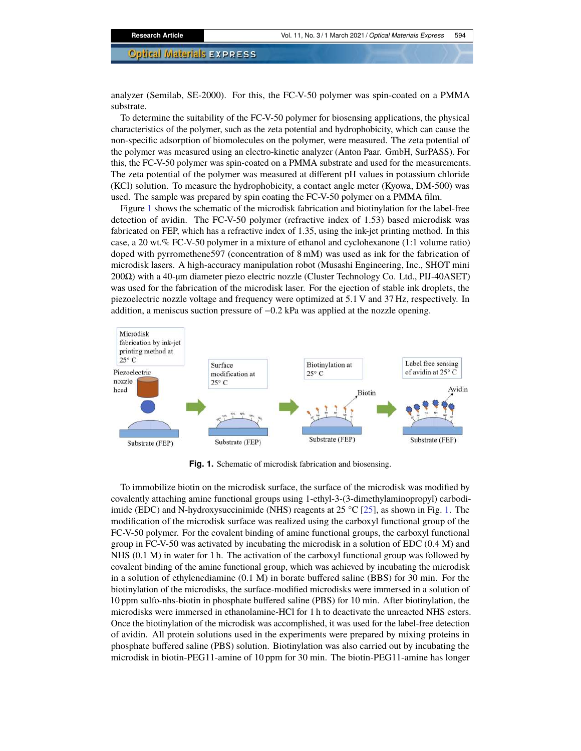analyzer (Semilab, SE-2000). For this, the FC-V-50 polymer was spin-coated on a PMMA substrate.

To determine the suitability of the FC-V-50 polymer for biosensing applications, the physical characteristics of the polymer, such as the zeta potential and hydrophobicity, which can cause the non-specific adsorption of biomolecules on the polymer, were measured. The zeta potential of the polymer was measured using an electro-kinetic analyzer (Anton Paar. GmbH, SurPASS). For this, the FC-V-50 polymer was spin-coated on a PMMA substrate and used for the measurements. The zeta potential of the polymer was measured at different pH values in potassium chloride (KCl) solution. To measure the hydrophobicity, a contact angle meter (Kyowa, DM-500) was used. The sample was prepared by spin coating the FC-V-50 polymer on a PMMA film.

Figure [1](#page-2-0) shows the schematic of the microdisk fabrication and biotinylation for the label-free detection of avidin. The FC-V-50 polymer (refractive index of 1.53) based microdisk was fabricated on FEP, which has a refractive index of 1.35, using the ink-jet printing method. In this case, a 20 wt.% FC-V-50 polymer in a mixture of ethanol and cyclohexanone (1:1 volume ratio) doped with pyrromethene597 (concentration of 8 mM) was used as ink for the fabrication of microdisk lasers. A high-accuracy manipulation robot (Musashi Engineering, Inc., SHOT mini 200Ω) with a 40-µm diameter piezo electric nozzle (Cluster Technology Co. Ltd., PIJ-40ASET) was used for the fabrication of the microdisk laser. For the ejection of stable ink droplets, the piezoelectric nozzle voltage and frequency were optimized at 5.1 V and 37 Hz, respectively. In addition, a meniscus suction pressure of −0.2 kPa was applied at the nozzle opening.



<span id="page-2-0"></span>**Fig. 1.** Schematic of microdisk fabrication and biosensing.

To immobilize biotin on the microdisk surface, the surface of the microdisk was modified by covalently attaching amine functional groups using 1-ethyl-3-(3-dimethylaminopropyl) carbodiimide (EDC) and N-hydroxysuccinimide (NHS) reagents at 25  $^{\circ}$ C [\[25\]](#page-10-12), as shown in Fig. [1.](#page-2-0) The modification of the microdisk surface was realized using the carboxyl functional group of the FC-V-50 polymer. For the covalent binding of amine functional groups, the carboxyl functional group in FC-V-50 was activated by incubating the microdisk in a solution of EDC (0.4 M) and NHS (0.1 M) in water for 1 h. The activation of the carboxyl functional group was followed by covalent binding of the amine functional group, which was achieved by incubating the microdisk in a solution of ethylenediamine (0.1 M) in borate buffered saline (BBS) for 30 min. For the biotinylation of the microdisks, the surface-modified microdisks were immersed in a solution of 10 ppm sulfo-nhs-biotin in phosphate buffered saline (PBS) for 10 min. After biotinylation, the microdisks were immersed in ethanolamine-HCl for 1 h to deactivate the unreacted NHS esters. Once the biotinylation of the microdisk was accomplished, it was used for the label-free detection of avidin. All protein solutions used in the experiments were prepared by mixing proteins in phosphate buffered saline (PBS) solution. Biotinylation was also carried out by incubating the microdisk in biotin-PEG11-amine of 10 ppm for 30 min. The biotin-PEG11-amine has longer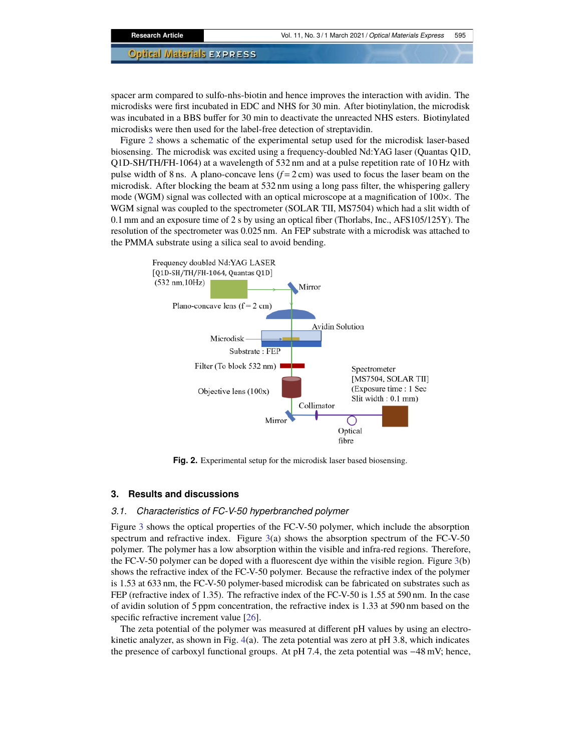spacer arm compared to sulfo-nhs-biotin and hence improves the interaction with avidin. The microdisks were first incubated in EDC and NHS for 30 min. After biotinylation, the microdisk was incubated in a BBS buffer for 30 min to deactivate the unreacted NHS esters. Biotinylated microdisks were then used for the label-free detection of streptavidin.

Figure [2](#page-3-0) shows a schematic of the experimental setup used for the microdisk laser-based biosensing. The microdisk was excited using a frequency-doubled Nd:YAG laser (Quantas Q1D, Q1D-SH/TH/FH-1064) at a wavelength of 532 nm and at a pulse repetition rate of 10 Hz with pulse width of 8 ns. A plano-concave lens  $(f = 2 \text{ cm})$  was used to focus the laser beam on the microdisk. After blocking the beam at 532 nm using a long pass filter, the whispering gallery mode (WGM) signal was collected with an optical microscope at a magnification of 100×. The WGM signal was coupled to the spectrometer (SOLAR TII, MS7504) which had a slit width of 0.1 mm and an exposure time of 2 s by using an optical fiber (Thorlabs, Inc., AFS105/125Y). The resolution of the spectrometer was 0.025 nm. An FEP substrate with a microdisk was attached to the PMMA substrate using a silica seal to avoid bending.



<span id="page-3-0"></span>**Fig. 2.** Experimental setup for the microdisk laser based biosensing.

#### **3. Results and discussions**

#### *3.1. Characteristics of FC-V-50 hyperbranched polymer*

Figure [3](#page-4-0) shows the optical properties of the FC-V-50 polymer, which include the absorption spectrum and refractive index. Figure  $3(a)$  $3(a)$  shows the absorption spectrum of the FC-V-50 polymer. The polymer has a low absorption within the visible and infra-red regions. Therefore, the FC-V-50 polymer can be doped with a fluorescent dye within the visible region. Figure [3\(](#page-4-0)b) shows the refractive index of the FC-V-50 polymer. Because the refractive index of the polymer is 1.53 at 633 nm, the FC-V-50 polymer-based microdisk can be fabricated on substrates such as FEP (refractive index of 1.35). The refractive index of the FC-V-50 is 1.55 at 590 nm. In the case of avidin solution of 5 ppm concentration, the refractive index is 1.33 at 590 nm based on the specific refractive increment value [\[26\]](#page-10-13).

The zeta potential of the polymer was measured at different pH values by using an electrokinetic analyzer, as shown in Fig. [4\(](#page-4-1)a). The zeta potential was zero at pH 3.8, which indicates the presence of carboxyl functional groups. At pH 7.4, the zeta potential was −48 mV; hence,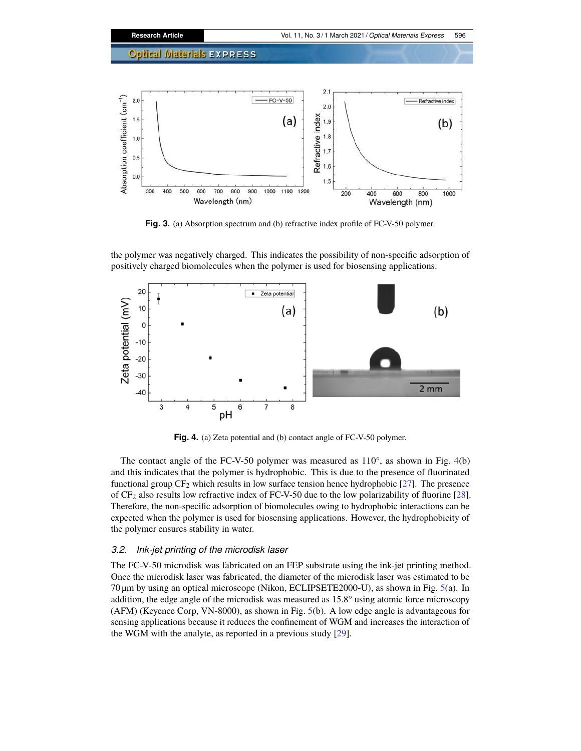

<span id="page-4-0"></span>**Fig. 3.** (a) Absorption spectrum and (b) refractive index profile of FC-V-50 polymer.



the polymer was negatively charged. This indicates the possibility of non-specific adsorption of positively charged biomolecules when the polymer is used for biosensing applications.

<span id="page-4-1"></span>**Fig. 4.** (a) Zeta potential and (b) contact angle of FC-V-50 polymer.

The contact angle of the FC-V-50 polymer was measured as  $110^{\circ}$ , as shown in Fig. [4\(](#page-4-1)b) and this indicates that the polymer is hydrophobic. This is due to the presence of fluorinated functional group  $CF_2$  which results in low surface tension hence hydrophobic [\[27\]](#page-10-14). The presence of CF2 also results low refractive index of FC-V-50 due to the low polarizability of fluorine [\[28\]](#page-10-15). Therefore, the non-specific adsorption of biomolecules owing to hydrophobic interactions can be expected when the polymer is used for biosensing applications. However, the hydrophobicity of the polymer ensures stability in water.

#### *3.2. Ink-jet printing of the microdisk laser*

The FC-V-50 microdisk was fabricated on an FEP substrate using the ink-jet printing method. Once the microdisk laser was fabricated, the diameter of the microdisk laser was estimated to be 70 µm by using an optical microscope (Nikon, ECLIPSETE2000-U), as shown in Fig. [5\(](#page-5-0)a). In addition, the edge angle of the microdisk was measured as 15.8° using atomic force microscopy (AFM) (Keyence Corp, VN-8000), as shown in Fig. [5\(](#page-5-0)b). A low edge angle is advantageous for sensing applications because it reduces the confinement of WGM and increases the interaction of the WGM with the analyte, as reported in a previous study [\[29\]](#page-10-16).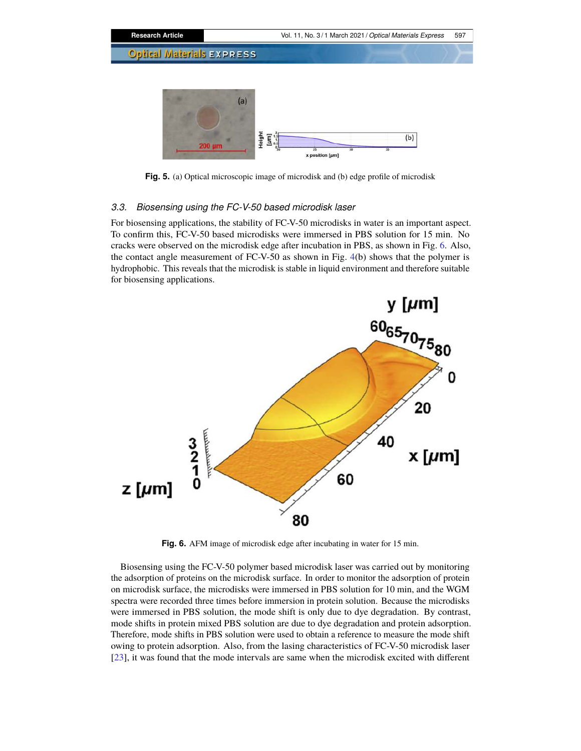

<span id="page-5-0"></span>**Fig. 5.** (a) Optical microscopic image of microdisk and (b) edge profile of microdisk

#### *3.3. Biosensing using the FC-V-50 based microdisk laser*

For biosensing applications, the stability of FC-V-50 microdisks in water is an important aspect. To confirm this, FC-V-50 based microdisks were immersed in PBS solution for 15 min. No cracks were observed on the microdisk edge after incubation in PBS, as shown in Fig. [6.](#page-5-1) Also, the contact angle measurement of FC-V-50 as shown in Fig. [4\(](#page-4-1)b) shows that the polymer is hydrophobic. This reveals that the microdisk is stable in liquid environment and therefore suitable for biosensing applications.



<span id="page-5-1"></span>**Fig. 6.** AFM image of microdisk edge after incubating in water for 15 min.

Biosensing using the FC-V-50 polymer based microdisk laser was carried out by monitoring the adsorption of proteins on the microdisk surface. In order to monitor the adsorption of protein on microdisk surface, the microdisks were immersed in PBS solution for 10 min, and the WGM spectra were recorded three times before immersion in protein solution. Because the microdisks were immersed in PBS solution, the mode shift is only due to dye degradation. By contrast, mode shifts in protein mixed PBS solution are due to dye degradation and protein adsorption. Therefore, mode shifts in PBS solution were used to obtain a reference to measure the mode shift owing to protein adsorption. Also, from the lasing characteristics of FC-V-50 microdisk laser [\[23\]](#page-10-10), it was found that the mode intervals are same when the microdisk excited with different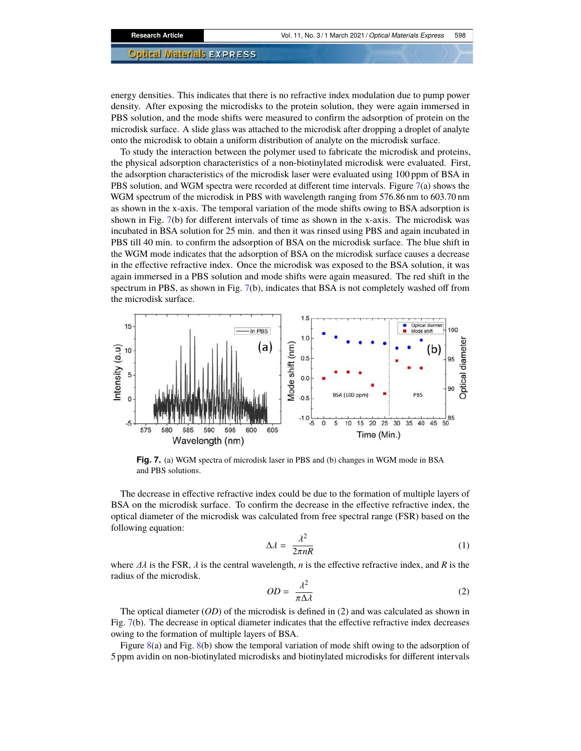energy densities. This indicates that there is no refractive index modulation due to pump power density. After exposing the microdisks to the protein solution, they were again immersed in PBS solution, and the mode shifts were measured to confirm the adsorption of protein on the microdisk surface. A slide glass was attached to the microdisk after dropping a droplet of analyte onto the microdisk to obtain a uniform distribution of analyte on the microdisk surface.

To study the interaction between the polymer used to fabricate the microdisk and proteins, the physical adsorption characteristics of a non-biotinylated microdisk were evaluated. First, the adsorption characteristics of the microdisk laser were evaluated using 100 ppm of BSA in PBS solution, and WGM spectra were recorded at different time intervals. Figure [7\(](#page-6-0)a) shows the WGM spectrum of the microdisk in PBS with wavelength ranging from 576.86 nm to 603.70 nm as shown in the x-axis. The temporal variation of the mode shifts owing to BSA adsorption is shown in Fig. [7\(](#page-6-0)b) for different intervals of time as shown in the x-axis. The microdisk was incubated in BSA solution for 25 min. and then it was rinsed using PBS and again incubated in PBS till 40 min. to confirm the adsorption of BSA on the microdisk surface. The blue shift in the WGM mode indicates that the adsorption of BSA on the microdisk surface causes a decrease in the effective refractive index. Once the microdisk was exposed to the BSA solution, it was again immersed in a PBS solution and mode shifts were again measured. The red shift in the spectrum in PBS, as shown in Fig. [7\(](#page-6-0)b), indicates that BSA is not completely washed off from the microdisk surface.



<span id="page-6-0"></span>**Fig. 7.** (a) WGM spectra of microdisk laser in PBS and (b) changes in WGM mode in BSA and PBS solutions.

The decrease in effective refractive index could be due to the formation of multiple layers of BSA on the microdisk surface. To confirm the decrease in the effective refractive index, the optical diameter of the microdisk was calculated from free spectral range (FSR) based on the following equation:

$$
\Delta \lambda = \frac{\lambda^2}{2\pi nR} \tag{1}
$$

where  $\Delta\lambda$  is the FSR,  $\lambda$  is the central wavelength, *n* is the effective refractive index, and *R* is the radius of the microdisk.

$$
OD = \frac{\lambda^2}{\pi \Delta \lambda} \tag{2}
$$

The optical diameter (*OD*) of the microdisk is defined in (2) and was calculated as shown in Fig. [7\(](#page-6-0)b). The decrease in optical diameter indicates that the effective refractive index decreases owing to the formation of multiple layers of BSA.

Figure [8\(](#page-7-0)a) and Fig. [8\(](#page-7-0)b) show the temporal variation of mode shift owing to the adsorption of 5 ppm avidin on non-biotinylated microdisks and biotinylated microdisks for different intervals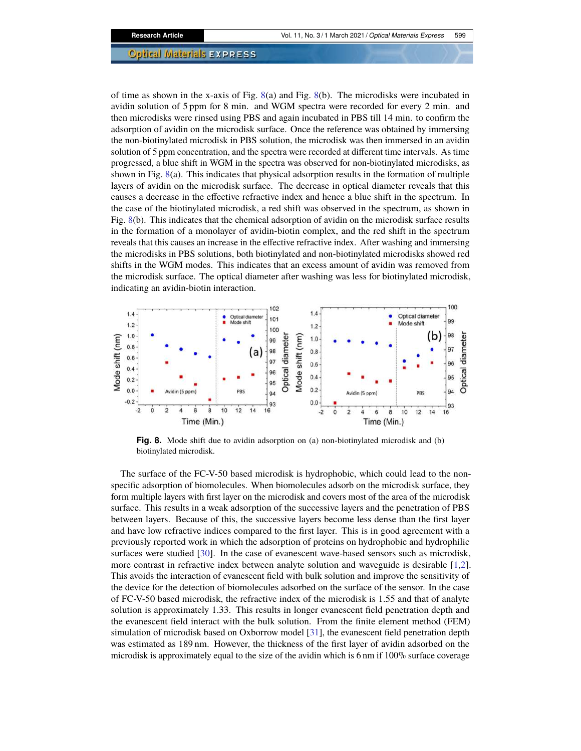of time as shown in the x-axis of Fig. [8\(](#page-7-0)a) and Fig. [8\(](#page-7-0)b). The microdisks were incubated in avidin solution of 5 ppm for 8 min. and WGM spectra were recorded for every 2 min. and then microdisks were rinsed using PBS and again incubated in PBS till 14 min. to confirm the adsorption of avidin on the microdisk surface. Once the reference was obtained by immersing the non-biotinylated microdisk in PBS solution, the microdisk was then immersed in an avidin solution of 5 ppm concentration, and the spectra were recorded at different time intervals. As time progressed, a blue shift in WGM in the spectra was observed for non-biotinylated microdisks, as shown in Fig. [8\(](#page-7-0)a). This indicates that physical adsorption results in the formation of multiple layers of avidin on the microdisk surface. The decrease in optical diameter reveals that this causes a decrease in the effective refractive index and hence a blue shift in the spectrum. In the case of the biotinylated microdisk, a red shift was observed in the spectrum, as shown in Fig. [8\(](#page-7-0)b). This indicates that the chemical adsorption of avidin on the microdisk surface results in the formation of a monolayer of avidin-biotin complex, and the red shift in the spectrum reveals that this causes an increase in the effective refractive index. After washing and immersing the microdisks in PBS solutions, both biotinylated and non-biotinylated microdisks showed red shifts in the WGM modes. This indicates that an excess amount of avidin was removed from the microdisk surface. The optical diameter after washing was less for biotinylated microdisk, indicating an avidin-biotin interaction.



<span id="page-7-0"></span>**Fig. 8.** Mode shift due to avidin adsorption on (a) non-biotinylated microdisk and (b) biotinylated microdisk.

The surface of the FC-V-50 based microdisk is hydrophobic, which could lead to the nonspecific adsorption of biomolecules. When biomolecules adsorb on the microdisk surface, they form multiple layers with first layer on the microdisk and covers most of the area of the microdisk surface. This results in a weak adsorption of the successive layers and the penetration of PBS between layers. Because of this, the successive layers become less dense than the first layer and have low refractive indices compared to the first layer. This is in good agreement with a previously reported work in which the adsorption of proteins on hydrophobic and hydrophilic surfaces were studied [\[30\]](#page-10-17). In the case of evanescent wave-based sensors such as microdisk, more contrast in refractive index between analyte solution and waveguide is desirable [\[1,](#page-9-0)[2\]](#page-9-4). This avoids the interaction of evanescent field with bulk solution and improve the sensitivity of the device for the detection of biomolecules adsorbed on the surface of the sensor. In the case of FC-V-50 based microdisk, the refractive index of the microdisk is 1.55 and that of analyte solution is approximately 1.33. This results in longer evanescent field penetration depth and the evanescent field interact with the bulk solution. From the finite element method (FEM) simulation of microdisk based on Oxborrow model [\[31\]](#page-10-18), the evanescent field penetration depth was estimated as 189 nm. However, the thickness of the first layer of avidin adsorbed on the microdisk is approximately equal to the size of the avidin which is 6 nm if 100% surface coverage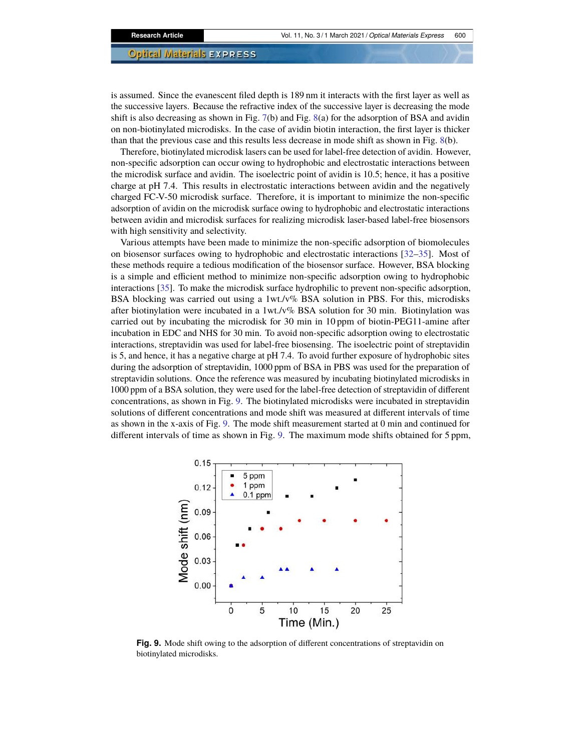is assumed. Since the evanescent filed depth is 189 nm it interacts with the first layer as well as the successive layers. Because the refractive index of the successive layer is decreasing the mode shift is also decreasing as shown in Fig. [7\(](#page-6-0)b) and Fig. [8\(](#page-7-0)a) for the adsorption of BSA and avidin on non-biotinylated microdisks. In the case of avidin biotin interaction, the first layer is thicker than that the previous case and this results less decrease in mode shift as shown in Fig. [8\(](#page-7-0)b).

Therefore, biotinylated microdisk lasers can be used for label-free detection of avidin. However, non-specific adsorption can occur owing to hydrophobic and electrostatic interactions between the microdisk surface and avidin. The isoelectric point of avidin is 10.5; hence, it has a positive charge at pH 7.4. This results in electrostatic interactions between avidin and the negatively charged FC-V-50 microdisk surface. Therefore, it is important to minimize the non-specific adsorption of avidin on the microdisk surface owing to hydrophobic and electrostatic interactions between avidin and microdisk surfaces for realizing microdisk laser-based label-free biosensors with high sensitivity and selectivity.

Various attempts have been made to minimize the non-specific adsorption of biomolecules on biosensor surfaces owing to hydrophobic and electrostatic interactions [\[32](#page-10-19)[–35\]](#page-10-20). Most of these methods require a tedious modification of the biosensor surface. However, BSA blocking is a simple and efficient method to minimize non-specific adsorption owing to hydrophobic interactions [\[35\]](#page-10-20). To make the microdisk surface hydrophilic to prevent non-specific adsorption, BSA blocking was carried out using a  $1wt.v\%$  BSA solution in PBS. For this, microdisks after biotinylation were incubated in a 1wt./v% BSA solution for 30 min. Biotinylation was carried out by incubating the microdisk for 30 min in 10 ppm of biotin-PEG11-amine after incubation in EDC and NHS for 30 min. To avoid non-specific adsorption owing to electrostatic interactions, streptavidin was used for label-free biosensing. The isoelectric point of streptavidin is 5, and hence, it has a negative charge at pH 7.4. To avoid further exposure of hydrophobic sites during the adsorption of streptavidin, 1000 ppm of BSA in PBS was used for the preparation of streptavidin solutions. Once the reference was measured by incubating biotinylated microdisks in 1000 ppm of a BSA solution, they were used for the label-free detection of streptavidin of different concentrations, as shown in Fig. [9.](#page-8-0) The biotinylated microdisks were incubated in streptavidin solutions of different concentrations and mode shift was measured at different intervals of time as shown in the x-axis of Fig. [9.](#page-8-0) The mode shift measurement started at 0 min and continued for different intervals of time as shown in Fig. [9.](#page-8-0) The maximum mode shifts obtained for 5 ppm,



<span id="page-8-0"></span>**Fig. 9.** Mode shift owing to the adsorption of different concentrations of streptavidin on biotinylated microdisks.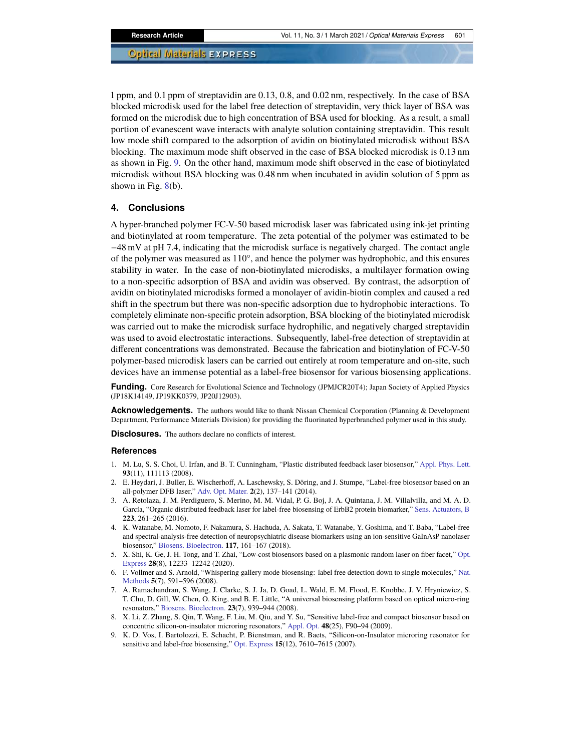1 ppm, and 0.1 ppm of streptavidin are 0.13, 0.8, and 0.02 nm, respectively. In the case of BSA blocked microdisk used for the label free detection of streptavidin, very thick layer of BSA was formed on the microdisk due to high concentration of BSA used for blocking. As a result, a small portion of evanescent wave interacts with analyte solution containing streptavidin. This result low mode shift compared to the adsorption of avidin on biotinylated microdisk without BSA blocking. The maximum mode shift observed in the case of BSA blocked microdisk is 0.13 nm as shown in Fig. [9.](#page-8-0) On the other hand, maximum mode shift observed in the case of biotinylated microdisk without BSA blocking was 0.48 nm when incubated in avidin solution of 5 ppm as shown in Fig. [8\(](#page-7-0)b).

#### **4. Conclusions**

A hyper-branched polymer FC-V-50 based microdisk laser was fabricated using ink-jet printing and biotinylated at room temperature. The zeta potential of the polymer was estimated to be −48 mV at pH 7.4, indicating that the microdisk surface is negatively charged. The contact angle of the polymer was measured as 110°, and hence the polymer was hydrophobic, and this ensures stability in water. In the case of non-biotinylated microdisks, a multilayer formation owing to a non-specific adsorption of BSA and avidin was observed. By contrast, the adsorption of avidin on biotinylated microdisks formed a monolayer of avidin-biotin complex and caused a red shift in the spectrum but there was non-specific adsorption due to hydrophobic interactions. To completely eliminate non-specific protein adsorption, BSA blocking of the biotinylated microdisk was carried out to make the microdisk surface hydrophilic, and negatively charged streptavidin was used to avoid electrostatic interactions. Subsequently, label-free detection of streptavidin at different concentrations was demonstrated. Because the fabrication and biotinylation of FC-V-50 polymer-based microdisk lasers can be carried out entirely at room temperature and on-site, such devices have an immense potential as a label-free biosensor for various biosensing applications.

**Funding.** Core Research for Evolutional Science and Technology (JPMJCR20T4); Japan Society of Applied Physics (JP18K14149, JP19KK0379, JP20J12903).

**Acknowledgements.** The authors would like to thank Nissan Chemical Corporation (Planning & Development Department, Performance Materials Division) for providing the fluorinated hyperbranched polymer used in this study.

**Disclosures.** The authors declare no conflicts of interest.

#### **References**

- <span id="page-9-0"></span>1. M. Lu, S. S. Choi, U. Irfan, and B. T. Cunningham, "Plastic distributed feedback laser biosensor," [Appl. Phys. Lett.](https://doi.org/10.1063/1.2987484) **93**(11), 111113 (2008).
- <span id="page-9-4"></span>2. E. Heydari, J. Buller, E. Wischerhoff, A. Laschewsky, S. Döring, and J. Stumpe, "Label-free biosensor based on an all-polymer DFB laser," [Adv. Opt. Mater.](https://doi.org/10.1002/adom.201300454) **2**(2), 137–141 (2014).
- 3. A. Retolaza, J. M. Perdiguero, S. Merino, M. M. Vidal, P. G. Boj, J. A. Quintana, J. M. Villalvilla, and M. A. D. García, "Organic distributed feedback laser for label-free biosensing of ErbB2 protein biomarker," [Sens. Actuators, B](https://doi.org/10.1016/j.snb.2015.09.093) **223**, 261–265 (2016).
- 4. K. Watanabe, M. Nomoto, F. Nakamura, S. Hachuda, A. Sakata, T. Watanabe, Y. Goshima, and T. Baba, "Label-free and spectral-analysis-free detection of neuropsychiatric disease biomarkers using an ion-sensitive GaInAsP nanolaser biosensor," [Biosens. Bioelectron.](https://doi.org/10.1016/j.bios.2018.05.059) **117**, 161–167 (2018).
- <span id="page-9-1"></span>5. X. Shi, K. Ge, J. H. Tong, and T. Zhai, "Low-cost biosensors based on a plasmonic random laser on fiber facet," [Opt.](https://doi.org/10.1364/OE.392661) [Express](https://doi.org/10.1364/OE.392661) **28**(8), 12233–12242 (2020).
- <span id="page-9-2"></span>6. F. Vollmer and S. Arnold, "Whispering gallery mode biosensing: label free detection down to single molecules," [Nat.](https://doi.org/10.1038/nmeth.1221) [Methods](https://doi.org/10.1038/nmeth.1221) **5**(7), 591–596 (2008).
- 7. A. Ramachandran, S. Wang, J. Clarke, S. J. Ja, D. Goad, L. Wald, E. M. Flood, E. Knobbe, J. V. Hryniewicz, S. T. Chu, D. Gill, W. Chen, O. King, and B. E. Little, "A universal biosensing platform based on optical micro-ring resonators," [Biosens. Bioelectron.](https://doi.org/10.1016/j.bios.2007.09.007) **23**(7), 939–944 (2008).
- 8. X. Li, Z. Zhang, S. Qin, T. Wang, F. Liu, M. Qiu, and Y. Su, "Sensitive label-free and compact biosensor based on concentric silicon-on-insulator microring resonators," [Appl. Opt.](https://doi.org/10.1364/AO.48.000F90) **48**(25), F90–94 (2009).
- <span id="page-9-3"></span>9. K. D. Vos, I. Bartolozzi, E. Schacht, P. Bienstman, and R. Baets, "Silicon-on-Insulator microring resonator for sensitive and label-free biosensing," [Opt. Express](https://doi.org/10.1364/OE.15.007610) **15**(12), 7610–7615 (2007).